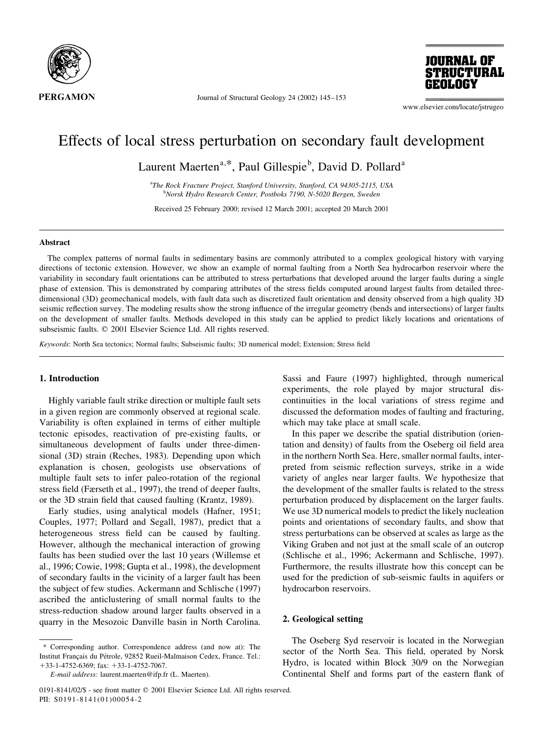

Journal of Structural Geology 24 (2002) 145-153



www.elsevier.com/locate/jstrugeo

# Effects of local stress perturbation on secondary fault development

Laurent Maerten<sup>a,\*</sup>, Paul Gillespie<sup>b</sup>, David D. Pollard<sup>a</sup>

<sup>a</sup>The Rock Fracture Project, Stanford University, Stanford, CA 94305-2115, USA <sup>b</sup>Norsk Hydro Research Center, Postboks 7190, N-5020 Bergen, Sweden

Received 25 February 2000; revised 12 March 2001; accepted 20 March 2001

## **Abstract**

The complex patterns of normal faults in sedimentary basins are commonly attributed to a complex geological history with varying directions of tectonic extension. However, we show an example of normal faulting from a North Sea hydrocarbon reservoir where the variability in secondary fault orientations can be attributed to stress perturbations that developed around the larger faults during a single phase of extension. This is demonstrated by comparing attributes of the stress fields computed around largest faults from detailed threedimensional (3D) geomechanical models, with fault data such as discretized fault orientation and density observed from a high quality 3D seismic reflection survey. The modeling results show the strong influence of the irregular geometry (bends and intersections) of larger faults on the development of smaller faults. Methods developed in this study can be applied to predict likely locations and orientations of subseismic faults. © 2001 Elsevier Science Ltd. All rights reserved.

Keywords: North Sea tectonics; Normal faults; Subseismic faults; 3D numerical model; Extension; Stress field

## 1. Introduction

Highly variable fault strike direction or multiple fault sets in a given region are commonly observed at regional scale. Variability is often explained in terms of either multiple tectonic episodes, reactivation of pre-existing faults, or simultaneous development of faults under three-dimensional (3D) strain (Reches, 1983). Depending upon which explanation is chosen, geologists use observations of multiple fault sets to infer paleo-rotation of the regional stress field (Færseth et al., 1997), the trend of deeper faults, or the 3D strain field that caused faulting (Krantz, 1989).

Early studies, using analytical models (Hafner, 1951; Couples, 1977; Pollard and Segall, 1987), predict that a heterogeneous stress field can be caused by faulting. However, although the mechanical interaction of growing faults has been studied over the last 10 years (Willemse et al., 1996; Cowie, 1998; Gupta et al., 1998), the development of secondary faults in the vicinity of a larger fault has been the subject of few studies. Ackermann and Schlische (1997) ascribed the anticlustering of small normal faults to the stress-reduction shadow around larger faults observed in a quarry in the Mesozoic Danville basin in North Carolina.

\* Corresponding author. Correspondence address (and now at): The Institut Français du Pétrole, 92852 Rueil-Malmaison Cedex, France. Tel.:  $+33-1-4752-6369$ ; fax:  $+33-1-4752-7067$ .

Sassi and Faure (1997) highlighted, through numerical experiments, the role played by major structural discontinuities in the local variations of stress regime and discussed the deformation modes of faulting and fracturing, which may take place at small scale.

In this paper we describe the spatial distribution (orientation and density) of faults from the Oseberg oil field area in the northern North Sea. Here, smaller normal faults, interpreted from seismic reflection surveys, strike in a wide variety of angles near larger faults. We hypothesize that the development of the smaller faults is related to the stress perturbation produced by displacement on the larger faults. We use 3D numerical models to predict the likely nucleation points and orientations of secondary faults, and show that stress perturbations can be observed at scales as large as the Viking Graben and not just at the small scale of an outcrop (Schlische et al., 1996; Ackermann and Schlische, 1997). Furthermore, the results illustrate how this concept can be used for the prediction of sub-seismic faults in aquifers or hydrocarbon reservoirs.

# 2. Geological setting

The Oseberg Syd reservoir is located in the Norwegian sector of the North Sea. This field, operated by Norsk Hydro, is located within Block 30/9 on the Norwegian Continental Shelf and forms part of the eastern flank of

E-mail address: laurent.maerten@ifp.fr (L. Maerten).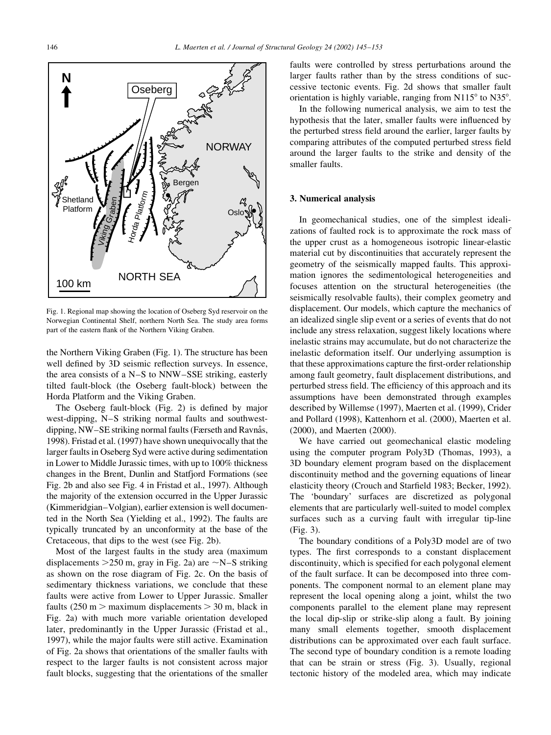

Fig. 1. Regional map showing the location of Oseberg Syd reservoir on the Norwegian Continental Shelf, northern North Sea. The study area forms part of the eastern flank of the Northern Viking Graben.

the Northern Viking Graben (Fig. 1). The structure has been well defined by 3D seismic reflection surveys. In essence, the area consists of a N-S to NNW-SSE striking, easterly tilted fault-block (the Oseberg fault-block) between the Horda Platform and the Viking Graben.

The Oseberg fault-block (Fig. 2) is defined by major west-dipping, N-S striking normal faults and southwestdipping, NW-SE striking normal faults (Færseth and Ravnås, 1998). Fristad et al. (1997) have shown unequivocally that the larger faults in Oseberg Syd were active during sedimentation in Lower to Middle Jurassic times, with up to 100% thickness changes in the Brent, Dunlin and Statfjord Formations (see Fig. 2b and also see Fig. 4 in Fristad et al., 1997). Although the majority of the extension occurred in the Upper Jurassic (Kimmeridgian–Volgian), earlier extension is well documented in the North Sea (Yielding et al., 1992). The faults are typically truncated by an unconformity at the base of the Cretaceous, that dips to the west (see Fig. 2b).

Most of the largest faults in the study area (maximum displacements  $>$ 250 m, gray in Fig. 2a) are  $\sim$ N-S striking as shown on the rose diagram of Fig. 2c. On the basis of sedimentary thickness variations, we conclude that these faults were active from Lower to Upper Jurassic. Smaller faults (250 m  $>$  maximum displacements  $>$  30 m, black in Fig. 2a) with much more variable orientation developed later, predominantly in the Upper Jurassic (Fristad et al., 1997), while the major faults were still active. Examination of Fig. 2a shows that orientations of the smaller faults with respect to the larger faults is not consistent across major fault blocks, suggesting that the orientations of the smaller

faults were controlled by stress perturbations around the larger faults rather than by the stress conditions of successive tectonic events. Fig. 2d shows that smaller fault orientation is highly variable, ranging from N115° to N35°.

In the following numerical analysis, we aim to test the hypothesis that the later, smaller faults were influenced by the perturbed stress field around the earlier, larger faults by comparing attributes of the computed perturbed stress field around the larger faults to the strike and density of the smaller faults.

## 3. Numerical analysis

In geomechanical studies, one of the simplest idealizations of faulted rock is to approximate the rock mass of the upper crust as a homogeneous isotropic linear-elastic material cut by discontinuities that accurately represent the geometry of the seismically mapped faults. This approximation ignores the sedimentological heterogeneities and focuses attention on the structural heterogeneities (the seismically resolvable faults), their complex geometry and displacement. Our models, which capture the mechanics of an idealized single slip event or a series of events that do not include any stress relaxation, suggest likely locations where inelastic strains may accumulate, but do not characterize the inelastic deformation itself. Our underlying assumption is that these approximations capture the first-order relationship among fault geometry, fault displacement distributions, and perturbed stress field. The efficiency of this approach and its assumptions have been demonstrated through examples described by Willemse (1997), Maerten et al. (1999), Crider and Pollard (1998), Kattenhorn et al. (2000), Maerten et al. (2000), and Maerten (2000).

We have carried out geomechanical elastic modeling using the computer program Poly3D (Thomas, 1993), a 3D boundary element program based on the displacement discontinuity method and the governing equations of linear elasticity theory (Crouch and Starfield 1983; Becker, 1992). The 'boundary' surfaces are discretized as polygonal elements that are particularly well-suited to model complex surfaces such as a curving fault with irregular tip-line (Fig. 3).

The boundary conditions of a Poly3D model are of two types. The first corresponds to a constant displacement discontinuity, which is specified for each polygonal element of the fault surface. It can be decomposed into three components. The component normal to an element plane may represent the local opening along a joint, whilst the two components parallel to the element plane may represent the local dip-slip or strike-slip along a fault. By joining many small elements together, smooth displacement distributions can be approximated over each fault surface. The second type of boundary condition is a remote loading that can be strain or stress (Fig. 3). Usually, regional tectonic history of the modeled area, which may indicate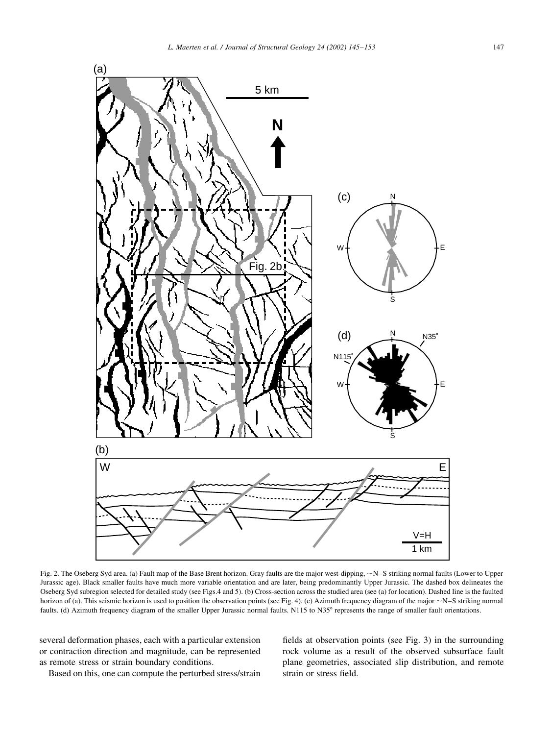

Fig. 2. The Oseberg Syd area. (a) Fault map of the Base Brent horizon. Gray faults are the major west-dipping, ~N-S striking normal faults (Lower to Upper Jurassic age). Black smaller faults have much more variable orientation and are later, being predominantly Upper Jurassic. The dashed box delineates the Oseberg Syd subregion selected for detailed study (see Figs.4 and 5). (b) Cross-section across the studied area (see (a) for location). Dashed line is the faulted horizon of (a). This seismic horizon is used to position the observation points (see Fig. 4). (c) Azimuth frequency diagram of the major  $\sim$ N-S striking normal faults. (d) Azimuth frequency diagram of the smaller Upper Jurassic normal faults. N115 to N35° represents the range of smaller fault orientations.

several deformation phases, each with a particular extension or contraction direction and magnitude, can be represented as remote stress or strain boundary conditions.

Based on this, one can compute the perturbed stress/strain

fields at observation points (see Fig. 3) in the surrounding rock volume as a result of the observed subsurface fault plane geometries, associated slip distribution, and remote strain or stress field.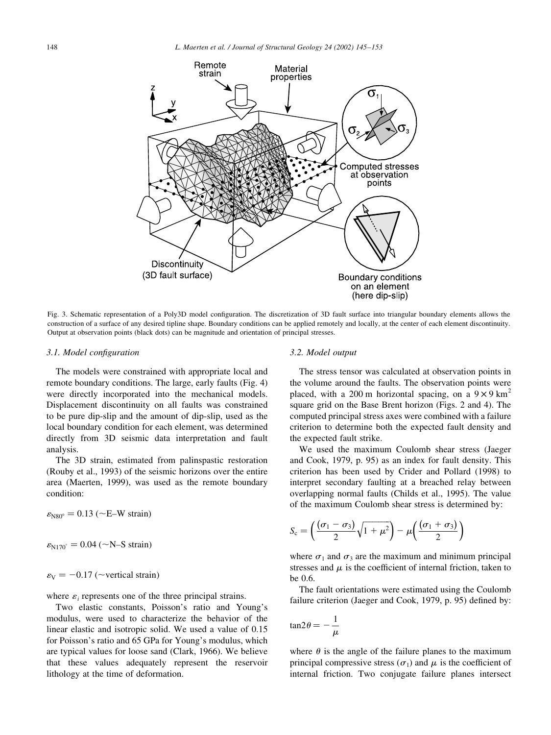

Fig. 3. Schematic representation of a Poly3D model configuration. The discretization of 3D fault surface into triangular boundary elements allows the construction of a surface of any desired tipline shape. Boundary conditions can be applied remotely and locally, at the center of each element discontinuity. Output at observation points (black dots) can be magnitude and orientation of principal stresses.

## 3.1. Model configuration

The models were constrained with appropriate local and remote boundary conditions. The large, early faults (Fig. 4) were directly incorporated into the mechanical models. Displacement discontinuity on all faults was constrained to be pure dip-slip and the amount of dip-slip, used as the local boundary condition for each element, was determined directly from 3D seismic data interpretation and fault analysis.

The 3D strain, estimated from palinspastic restoration (Rouby et al., 1993) of the seismic horizons over the entire area (Maerten, 1999), was used as the remote boundary condition:

 $\varepsilon_{\text{NS0}^{\circ}}$  = 0.13 (~E–W strain)

 $\varepsilon_{N170^{\circ}} = 0.04 \; (-N-S \; strain)$ 

 $\varepsilon_{V} = -0.17$  (~vertical strain)

where  $\varepsilon_i$  represents one of the three principal strains.

Two elastic constants. Poisson's ratio and Young's modulus, were used to characterize the behavior of the linear elastic and isotropic solid. We used a value of 0.15 for Poisson's ratio and 65 GPa for Young's modulus, which are typical values for loose sand (Clark, 1966). We believe that these values adequately represent the reservoir lithology at the time of deformation.

#### 3.2. Model output

The stress tensor was calculated at observation points in the volume around the faults. The observation points were placed, with a 200 m horizontal spacing, on a  $9 \times 9$  km<sup>2</sup> square grid on the Base Brent horizon (Figs. 2 and 4). The computed principal stress axes were combined with a failure criterion to determine both the expected fault density and the expected fault strike.

We used the maximum Coulomb shear stress (Jaeger and Cook, 1979, p. 95) as an index for fault density. This criterion has been used by Crider and Pollard (1998) to interpret secondary faulting at a breached relay between overlapping normal faults (Childs et al., 1995). The value of the maximum Coulomb shear stress is determined by:

$$
S_{\rm c} = \left(\frac{(\sigma_1 - \sigma_3)}{2}\sqrt{1 + \mu^2}\right) - \mu\left(\frac{(\sigma_1 + \sigma_3)}{2}\right)
$$

where  $\sigma_1$  and  $\sigma_3$  are the maximum and minimum principal stresses and  $\mu$  is the coefficient of internal friction, taken to be 0.6.

The fault orientations were estimated using the Coulomb failure criterion (Jaeger and Cook, 1979, p. 95) defined by:

$$
\tan 2\theta = -\frac{1}{\mu}
$$

where  $\theta$  is the angle of the failure planes to the maximum principal compressive stress ( $\sigma_1$ ) and  $\mu$  is the coefficient of internal friction. Two conjugate failure planes intersect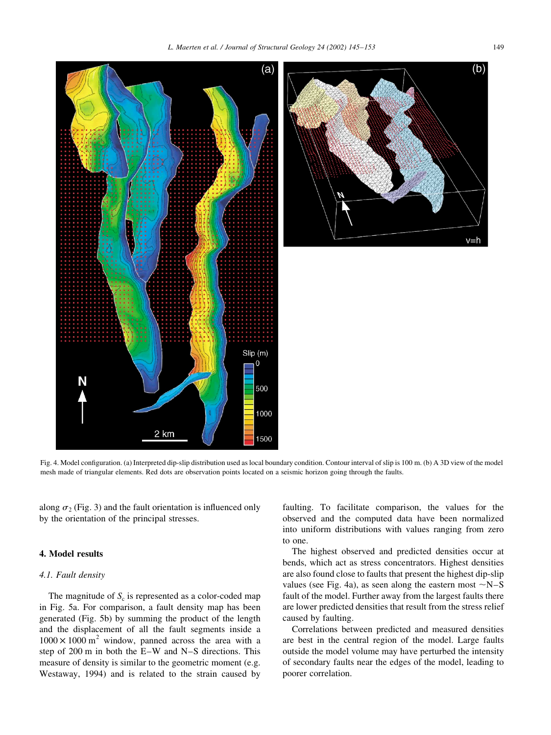

Fig. 4. Model configuration. (a) Interpreted dip-slip distribution used as local boundary condition. Contour interval of slip is 100 m. (b) A 3D view of the model mesh made of triangular elements. Red dots are observation points located on a seismic horizon going through the faults.

along  $\sigma_2$  (Fig. 3) and the fault orientation is influenced only by the orientation of the principal stresses.

## 4. Model results

## 4.1. Fault density

The magnitude of  $S_c$  is represented as a color-coded map in Fig. 5a. For comparison, a fault density map has been generated (Fig. 5b) by summing the product of the length and the displacement of all the fault segments inside a  $1000 \times 1000$  m<sup>2</sup> window, panned across the area with a step of 200 m in both the E-W and N-S directions. This measure of density is similar to the geometric moment (e.g. Westaway, 1994) and is related to the strain caused by faulting. To facilitate comparison, the values for the observed and the computed data have been normalized into uniform distributions with values ranging from zero to one.

The highest observed and predicted densities occur at bends, which act as stress concentrators. Highest densities are also found close to faults that present the highest dip-slip values (see Fig. 4a), as seen along the eastern most  $\sim N-S$ fault of the model. Further away from the largest faults there are lower predicted densities that result from the stress relief caused by faulting.

Correlations between predicted and measured densities are best in the central region of the model. Large faults outside the model volume may have perturbed the intensity of secondary faults near the edges of the model, leading to poorer correlation.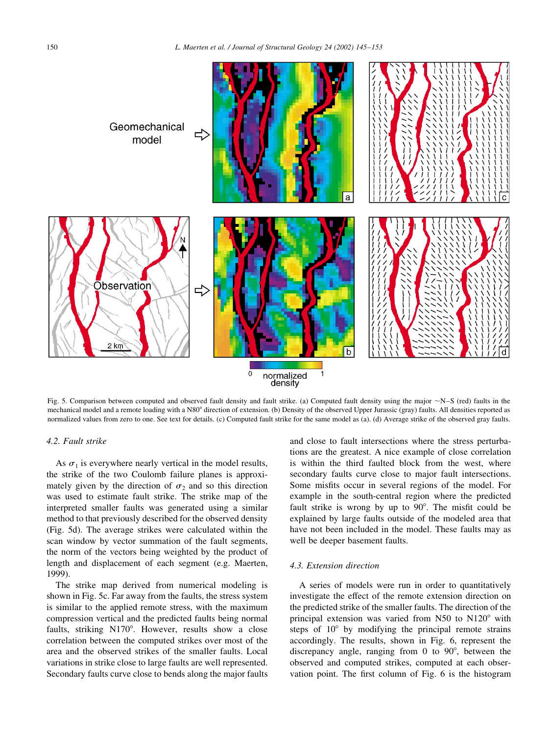

Fig. 5. Comparison between computed and observed fault density and fault strike. (a) Computed fault density using the major  $\sim$ N-S (red) faults in the mechanical nodel and a remote loading with a N80° direction of extension. (b) Density of the observed Upper Jurassic (gray) faults. All densities reported as normalized values from zero to one. See text for details. (c) Computed fault strike for the same model as (a). (d) Average strike of the observed gray faults.

## 4.2. Fault strike

As  $\sigma_1$  is everywhere nearly vertical in the model results, the strike of the two Coulomb failure planes is approximately given by the direction of  $\sigma_2$  and so this direction was used to estimate fault strike. The strike map of the interpreted smaller faults was generated using a similar method to that previously described for the observed density (Fig. 5d). The average strikes were calculated within the scan window by vector summation of the fault segments, the norm of the vectors being weighted by the product of length and displacement of each segment (e.g. Maerten, 1999).

The strike map derived from numerical modeling is shown in Fig. 5c. Far away from the faults, the stress system is similar to the applied remote stress, with the maximum compression vertical and the predicted faults being normal faults, striking N170°. However, results show a close correlation between the computed strikes over most of the area and the observed strikes of the smaller faults. Local variations in strike close to large faults are well represented. Secondary faults curve close to bends along the major faults and close to fault intersections where the stress perturbations are the greatest. A nice example of close correlation is within the third faulted block from the west, where secondary faults curve close to major fault intersections. Some misfits occur in several regions of the model. For example in the south-central region where the predicted fault strike is wrong by up to 90°. The misfit could be explained by large faults outside of the modeled area that have not been included in the model. These faults may as well be deeper basement faults.

## 4.3. Extension direction

A series of models were run in order to quantitatively investigate the effect of the remote extension direction on the predicted strike of the smaller faults. The direction of the principal extension was varied from N50 to N120° with steps of 10° by modifying the principal remote strains accordingly. The results, shown in Fig. 6, represent the discrepancy angle, ranging from 0 to  $90^{\circ}$ , between the observed and computed strikes, computed at each observation point. The first column of Fig. 6 is the histogram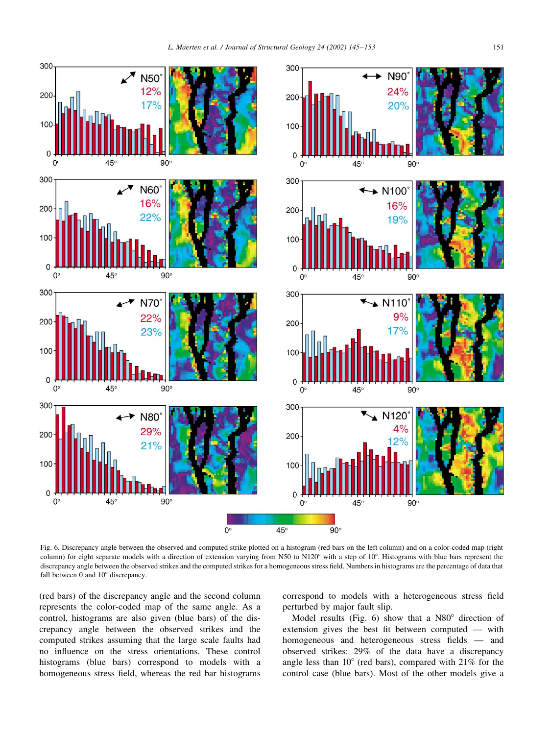



Fig. 6. Discrepancy angle between the observed and computed strike plotted on a histogram (red bars on the left column) and on a color-coded map (right column) for eight separate models with a direction of extension varying from N50 to N120° with a step of 10°. Histograms with blue bars represent the discrepancy angle between the observed strikes and the computed strikes for a homogeneous stress field. Numbers in histograms are the percentage of data that fall between 0 and  $10^{\circ}$  discrepancy.

(red bars) of the discrepancy angle and the second column represents the color-coded map of the same angle. As a control, histograms are also given (blue bars) of the discrepancy angle between the observed strikes and the computed strikes assuming that the large scale faults had no influence on the stress orientations. These control histograms (blue bars) correspond to models with a homogeneous stress field, whereas the red bar histograms

300

200

100

 $\Omega$ 

300

200

100

 $\Omega$ 

 $\mathbf 0$ 

 $\Omega$ 

 $\Omega$ 

N<sub>50</sub> 12%

 $17%$ 

N60

16%

 $22%$ 

 $90^\circ$ 

 $AB<sub>o</sub>$ 

correspond to models with a heterogeneous stress field perturbed by major fault slip.

Model results (Fig. 6) show that a N80° direction of extension gives the best fit between computed — with homogeneous and heterogeneous stress fields - and observed strikes: 29% of the data have a discrepancy angle less than  $10^{\circ}$  (red bars), compared with  $21\%$  for the control case (blue bars). Most of the other models give a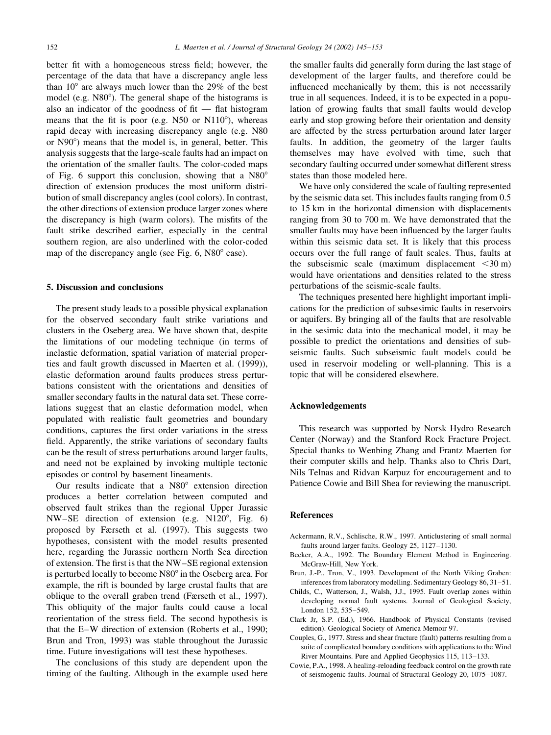better fit with a homogeneous stress field; however, the percentage of the data that have a discrepancy angle less than  $10^{\circ}$  are always much lower than the 29% of the best model (e.g. N80°). The general shape of the histograms is also an indicator of the goodness of fit  $-$  flat histogram means that the fit is poor (e.g. N50 or N110°), whereas rapid decay with increasing discrepancy angle (e.g. N80) or N90<sup>o</sup>) means that the model is, in general, better. This analysis suggests that the large-scale faults had an impact on the orientation of the smaller faults. The color-coded maps of Fig. 6 support this conclusion, showing that a N80° direction of extension produces the most uniform distribution of small discrepancy angles (cool colors). In contrast, the other directions of extension produce larger zones where the discrepancy is high (warm colors). The misfits of the fault strike described earlier, especially in the central southern region, are also underlined with the color-coded map of the discrepancy angle (see Fig. 6, N80° case).

## 5. Discussion and conclusions

The present study leads to a possible physical explanation for the observed secondary fault strike variations and clusters in the Oseberg area. We have shown that, despite the limitations of our modeling technique (in terms of inelastic deformation, spatial variation of material properties and fault growth discussed in Maerten et al. (1999)), elastic deformation around faults produces stress perturbations consistent with the orientations and densities of smaller secondary faults in the natural data set. These correlations suggest that an elastic deformation model, when populated with realistic fault geometries and boundary conditions, captures the first order variations in the stress field. Apparently, the strike variations of secondary faults can be the result of stress perturbations around larger faults, and need not be explained by invoking multiple tectonic episodes or control by basement lineaments.

Our results indicate that a N80° extension direction produces a better correlation between computed and observed fault strikes than the regional Upper Jurassic NW-SE direction of extension (e.g. N120°, Fig. 6) proposed by Færseth et al. (1997). This suggests two hypotheses, consistent with the model results presented here, regarding the Jurassic northern North Sea direction of extension. The first is that the NW-SE regional extension is perturbed locally to become N80° in the Oseberg area. For example, the rift is bounded by large crustal faults that are oblique to the overall graben trend (Færseth et al., 1997). This obliquity of the major faults could cause a local reorientation of the stress field. The second hypothesis is that the E–W direction of extension (Roberts et al., 1990; Brun and Tron, 1993) was stable throughout the Jurassic time. Future investigations will test these hypotheses.

The conclusions of this study are dependent upon the timing of the faulting. Although in the example used here the smaller faults did generally form during the last stage of development of the larger faults, and therefore could be influenced mechanically by them; this is not necessarily true in all sequences. Indeed, it is to be expected in a population of growing faults that small faults would develop early and stop growing before their orientation and density are affected by the stress perturbation around later larger faults. In addition, the geometry of the larger faults themselves may have evolved with time, such that secondary faulting occurred under somewhat different stress states than those modeled here.

We have only considered the scale of faulting represented by the seismic data set. This includes faults ranging from 0.5 to 15 km in the horizontal dimension with displacements ranging from 30 to 700 m. We have demonstrated that the smaller faults may have been influenced by the larger faults within this seismic data set. It is likely that this process occurs over the full range of fault scales. Thus, faults at the subseismic scale (maximum displacement  $\leq 30 \text{ m}$ ) would have orientations and densities related to the stress perturbations of the seismic-scale faults.

The techniques presented here highlight important implications for the prediction of subsesimic faults in reservoirs or aquifers. By bringing all of the faults that are resolvable in the sesimic data into the mechanical model, it may be possible to predict the orientations and densities of subseismic faults. Such subseismic fault models could be used in reservoir modeling or well-planning. This is a topic that will be considered elsewhere.

## **Acknowledgements**

This research was supported by Norsk Hydro Research Center (Norway) and the Stanford Rock Fracture Project. Special thanks to Wenbing Zhang and Frantz Maerten for their computer skills and help. Thanks also to Chris Dart, Nils Telnas and Ridvan Karpuz for encouragement and to Patience Cowie and Bill Shea for reviewing the manuscript.

## **References**

- Ackermann, R.V., Schlische, R.W., 1997. Anticlustering of small normal faults around larger faults. Geology 25, 1127-1130.
- Becker, A.A., 1992. The Boundary Element Method in Engineering. McGraw-Hill, New York.
- Brun, J.-P., Tron, V., 1993. Development of the North Viking Graben: inferences from laboratory modelling. Sedimentary Geology 86, 31-51.
- Childs, C., Watterson, J., Walsh, J.J., 1995. Fault overlap zones within developing normal fault systems. Journal of Geological Society, London 152, 535-549.
- Clark Jr, S.P. (Ed.), 1966. Handbook of Physical Constants (revised edition). Geological Society of America Memoir 97.
- Couples, G., 1977. Stress and shear fracture (fault) patterns resulting from a suite of complicated boundary conditions with applications to the Wind River Mountains. Pure and Applied Geophysics 115, 113-133.
- Cowie, P.A., 1998. A healing-reloading feedback control on the growth rate of seismogenic faults. Journal of Structural Geology 20, 1075-1087.